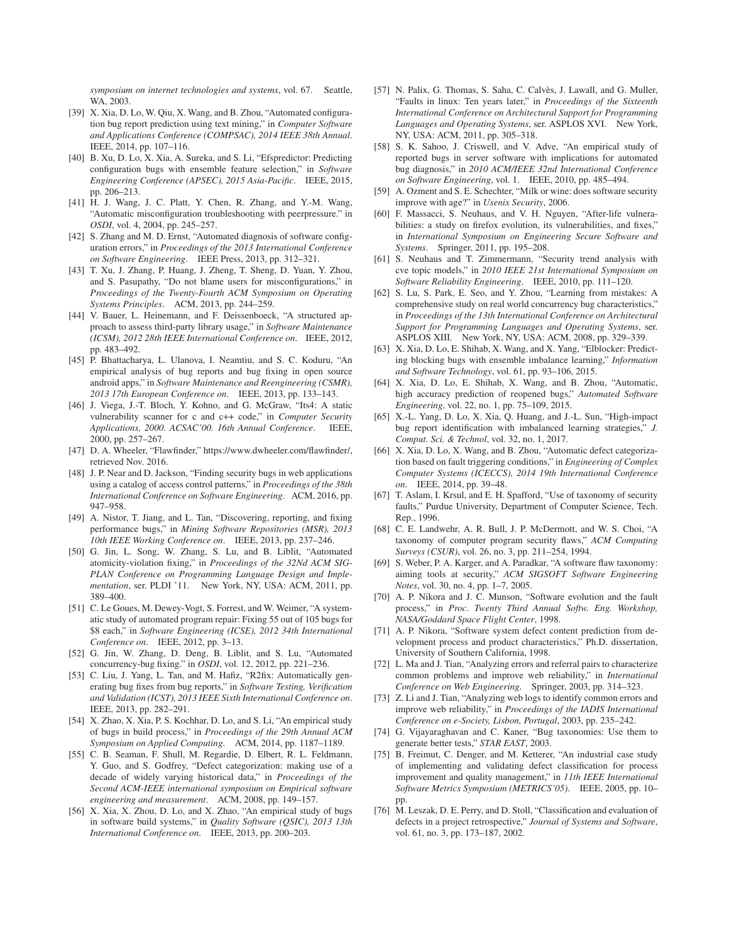*symposium on internet technologies and systems*, vol. 67. Seattle, WA, 2003.

- [39] X. Xia, D. Lo, W. Qiu, X. Wang, and B. Zhou, "Automated configuration bug report prediction using text mining," in *Computer Software and Applications Conference (COMPSAC), 2014 IEEE 38th Annual*. IEEE, 2014, pp. 107–116.
- [40] B. Xu, D. Lo, X. Xia, A. Sureka, and S. Li, "Efspredictor: Predicting configuration bugs with ensemble feature selection," in *Software Engineering Conference (APSEC), 2015 Asia-Pacific*. IEEE, 2015, pp. 206–213.
- [41] H. J. Wang, J. C. Platt, Y. Chen, R. Zhang, and Y.-M. Wang, "Automatic misconfiguration troubleshooting with peerpressure." in *OSDI*, vol. 4, 2004, pp. 245–257.
- [42] S. Zhang and M. D. Ernst, "Automated diagnosis of software configuration errors," in *Proceedings of the 2013 International Conference on Software Engineering*. IEEE Press, 2013, pp. 312–321.
- [43] T. Xu, J. Zhang, P. Huang, J. Zheng, T. Sheng, D. Yuan, Y. Zhou, and S. Pasupathy, "Do not blame users for misconfigurations," in *Proceedings of the Twenty-Fourth ACM Symposium on Operating Systems Principles*. ACM, 2013, pp. 244–259.
- [44] V. Bauer, L. Heinemann, and F. Deissenboeck, "A structured approach to assess third-party library usage," in *Software Maintenance (ICSM), 2012 28th IEEE International Conference on*. IEEE, 2012, pp. 483–492.
- [45] P. Bhattacharya, L. Ulanova, I. Neamtiu, and S. C. Koduru, "An empirical analysis of bug reports and bug fixing in open source android apps," in *Software Maintenance and Reengineering (CSMR), 2013 17th European Conference on*. IEEE, 2013, pp. 133–143.
- [46] J. Viega, J.-T. Bloch, Y. Kohno, and G. McGraw, "Its4: A static vulnerability scanner for c and c++ code," in *Computer Security Applications, 2000. ACSAC'00. 16th Annual Conference*. IEEE, 2000, pp. 257–267.
- [47] D. A. Wheeler, "Flawfinder," https://www.dwheeler.com/flawfinder/, retrieved Nov. 2016.
- [48] J. P. Near and D. Jackson, "Finding security bugs in web applications using a catalog of access control patterns," in *Proceedings of the 38th International Conference on Software Engineering*. ACM, 2016, pp. 947–958.
- [49] A. Nistor, T. Jiang, and L. Tan, "Discovering, reporting, and fixing performance bugs," in *Mining Software Repositories (MSR), 2013 10th IEEE Working Conference on*. IEEE, 2013, pp. 237–246.
- [50] G. Jin, L. Song, W. Zhang, S. Lu, and B. Liblit, "Automated atomicity-violation fixing," in *Proceedings of the 32Nd ACM SIG-PLAN Conference on Programming Language Design and Implementation*, ser. PLDI '11. New York, NY, USA: ACM, 2011, pp. 389–400.
- [51] C. Le Goues, M. Dewey-Vogt, S. Forrest, and W. Weimer, "A systematic study of automated program repair: Fixing 55 out of 105 bugs for \$8 each," in *Software Engineering (ICSE), 2012 34th International Conference on*. IEEE, 2012, pp. 3–13.
- [52] G. Jin, W. Zhang, D. Deng, B. Liblit, and S. Lu, "Automated concurrency-bug fixing." in *OSDI*, vol. 12, 2012, pp. 221–236.
- [53] C. Liu, J. Yang, L. Tan, and M. Hafiz, "R2fix: Automatically generating bug fixes from bug reports," in *Software Testing, Verification and Validation (ICST), 2013 IEEE Sixth International Conference on*. IEEE, 2013, pp. 282–291.
- [54] X. Zhao, X. Xia, P. S. Kochhar, D. Lo, and S. Li, "An empirical study of bugs in build process," in *Proceedings of the 29th Annual ACM Symposium on Applied Computing*. ACM, 2014, pp. 1187–1189.
- [55] C. B. Seaman, F. Shull, M. Regardie, D. Elbert, R. L. Feldmann, Y. Guo, and S. Godfrey, "Defect categorization: making use of a decade of widely varying historical data," in *Proceedings of the Second ACM-IEEE international symposium on Empirical software engineering and measurement*. ACM, 2008, pp. 149–157.
- [56] X. Xia, X. Zhou, D. Lo, and X. Zhao, "An empirical study of bugs in software build systems," in *Quality Software (QSIC), 2013 13th International Conference on*. IEEE, 2013, pp. 200–203.
- [57] N. Palix, G. Thomas, S. Saha, C. Calvès, J. Lawall, and G. Muller, "Faults in linux: Ten years later," in *Proceedings of the Sixteenth International Conference on Architectural Support for Programming Languages and Operating Systems*, ser. ASPLOS XVI. New York, NY, USA: ACM, 2011, pp. 305–318.
- [58] S. K. Sahoo, J. Criswell, and V. Adve, "An empirical study of reported bugs in server software with implications for automated bug diagnosis," in *2010 ACM/IEEE 32nd International Conference on Software Engineering*, vol. 1. IEEE, 2010, pp. 485–494.
- [59] A. Ozment and S. E. Schechter, "Milk or wine: does software security improve with age?" in *Usenix Security*, 2006.
- [60] F. Massacci, S. Neuhaus, and V. H. Nguyen, "After-life vulnerabilities: a study on firefox evolution, its vulnerabilities, and fixes," in *International Symposium on Engineering Secure Software and Systems*. Springer, 2011, pp. 195–208.
- [61] S. Neuhaus and T. Zimmermann, "Security trend analysis with cve topic models," in *2010 IEEE 21st International Symposium on Software Reliability Engineering*. IEEE, 2010, pp. 111–120.
- [62] S. Lu, S. Park, E. Seo, and Y. Zhou, "Learning from mistakes: A comprehensive study on real world concurrency bug characteristics," in *Proceedings of the 13th International Conference on Architectural Support for Programming Languages and Operating Systems*, ser. ASPLOS XIII. New York, NY, USA: ACM, 2008, pp. 329–339.
- [63] X. Xia, D. Lo, E. Shihab, X. Wang, and X. Yang, "Elblocker: Predicting blocking bugs with ensemble imbalance learning," *Information and Software Technology*, vol. 61, pp. 93–106, 2015.
- [64] X. Xia, D. Lo, E. Shihab, X. Wang, and B. Zhou, "Automatic, high accuracy prediction of reopened bugs," *Automated Software Engineering*, vol. 22, no. 1, pp. 75–109, 2015.
- [65] X.-L. Yang, D. Lo, X. Xia, Q. Huang, and J.-L. Sun, "High-impact bug report identification with imbalanced learning strategies," *J. Comput. Sci. & Technol*, vol. 32, no. 1, 2017.
- [66] X. Xia, D. Lo, X. Wang, and B. Zhou, "Automatic defect categorization based on fault triggering conditions," in *Engineering of Complex Computer Systems (ICECCS), 2014 19th International Conference on*. IEEE, 2014, pp. 39–48.
- [67] T. Aslam, I. Krsul, and E. H. Spafford, "Use of taxonomy of security faults," Purdue University, Department of Computer Science, Tech. Rep., 1996.
- [68] C. E. Landwehr, A. R. Bull, J. P. McDermott, and W. S. Choi, "A taxonomy of computer program security flaws," *ACM Computing Surveys (CSUR)*, vol. 26, no. 3, pp. 211–254, 1994.
- [69] S. Weber, P. A. Karger, and A. Paradkar, "A software flaw taxonomy: aiming tools at security," *ACM SIGSOFT Software Engineering Notes*, vol. 30, no. 4, pp. 1–7, 2005.
- [70] A. P. Nikora and J. C. Munson, "Software evolution and the fault process," in *Proc. Twenty Third Annual Softw. Eng. Workshop, NASA/Goddard Space Flight Center*, 1998.
- [71] A. P. Nikora, "Software system defect content prediction from development process and product characteristics," Ph.D. dissertation, University of Southern California, 1998.
- [72] L. Ma and J. Tian, "Analyzing errors and referral pairs to characterize common problems and improve web reliability," in *International Conference on Web Engineering*. Springer, 2003, pp. 314–323.
- [73] Z. Li and J. Tian, "Analyzing web logs to identify common errors and improve web reliability," in *Proceedings of the IADIS International Conference on e-Society, Lisbon, Portugal*, 2003, pp. 235–242.
- [74] G. Vijayaraghavan and C. Kaner, "Bug taxonomies: Use them to generate better tests," *STAR EAST*, 2003.
- [75] B. Freimut, C. Denger, and M. Ketterer, "An industrial case study of implementing and validating defect classification for process improvement and quality management," in *11th IEEE International Software Metrics Symposium (METRICS'05)*. IEEE, 2005, pp. 10– pp.
- [76] M. Leszak, D. E. Perry, and D. Stoll, "Classification and evaluation of defects in a project retrospective," *Journal of Systems and Software*, vol. 61, no. 3, pp. 173–187, 2002.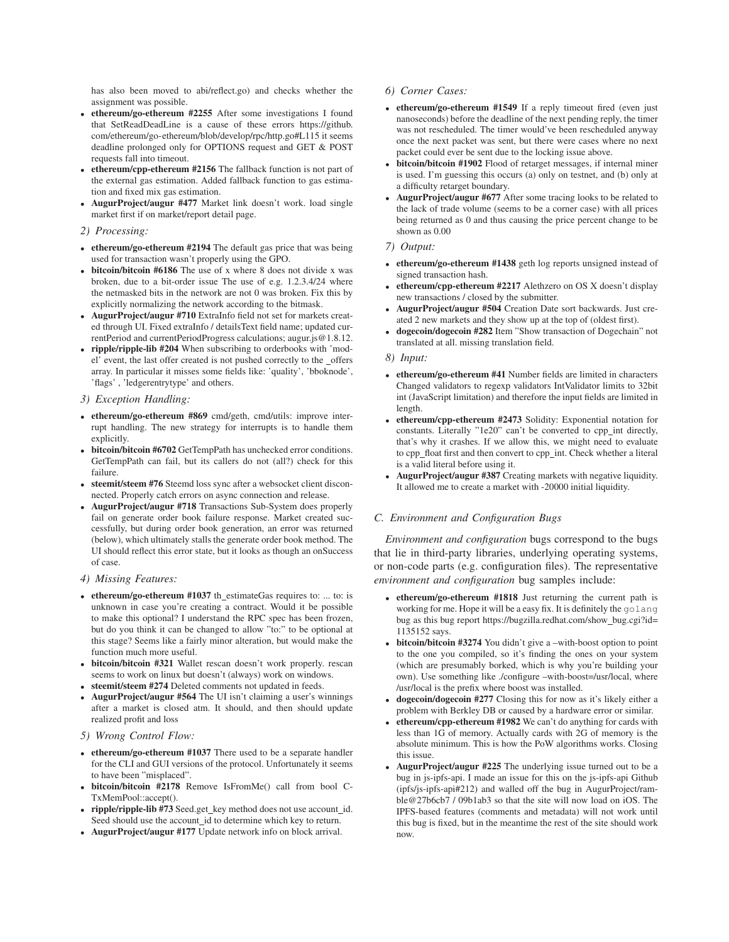has also been moved to abi/reflect.go) and checks whether the assignment was possible.

- ethereum/go-ethereum #2255 After some investigations I found that SetReadDeadLine is a cause of these errors https://github. com/ethereum/go-ethereum/blob/develop/rpc/http.go#L115 it seems deadline prolonged only for OPTIONS request and GET & POST requests fall into timeout.
- ethereum/cpp-ethereum #2156 The fallback function is not part of the external gas estimation. Added fallback function to gas estimation and fixed mix gas estimation.
- AugurProject/augur #477 Market link doesn't work. load single market first if on market/report detail page.

#### *2) Processing:*

- ethereum/go-ethereum #2194 The default gas price that was being used for transaction wasn't properly using the GPO.
- bitcoin/bitcoin #6186 The use of x where 8 does not divide x was broken, due to a bit-order issue The use of e.g. 1.2.3.4/24 where the netmasked bits in the network are not 0 was broken. Fix this by explicitly normalizing the network according to the bitmask.
- AugurProject/augur #710 ExtraInfo field not set for markets created through UI. Fixed extraInfo / detailsText field name; updated currentPeriod and currentPeriodProgress calculations; augur.js@1.8.12.
- ripple/ripple-lib #204 When subscribing to orderbooks with 'model' event, the last offer created is not pushed correctly to the \_offers array. In particular it misses some fields like: 'quality', 'bboknode', 'flags' , 'ledgerentrytype' and others.
- *3) Exception Handling:*
- ethereum/go-ethereum #869 cmd/geth, cmd/utils: improve interrupt handling. The new strategy for interrupts is to handle them explicitly.
- bitcoin/bitcoin #6702 GetTempPath has unchecked error conditions. GetTempPath can fail, but its callers do not (all?) check for this failure.
- steemit/steem #76 Steemd loss sync after a websocket client disconnected. Properly catch errors on async connection and release.
- AugurProject/augur #718 Transactions Sub-System does properly fail on generate order book failure response. Market created successfully, but during order book generation, an error was returned (below), which ultimately stalls the generate order book method. The UI should reflect this error state, but it looks as though an onSuccess of case.

#### *4) Missing Features:*

- ethereum/go-ethereum  $#1037$  th\_estimateGas requires to: ... to: is unknown in case you're creating a contract. Would it be possible to make this optional? I understand the RPC spec has been frozen, but do you think it can be changed to allow "to:" to be optional at this stage? Seems like a fairly minor alteration, but would make the function much more useful.
- bitcoin/bitcoin #321 Wallet rescan doesn't work properly. rescan seems to work on linux but doesn't (always) work on windows.
- steemit/steem #274 Deleted comments not updated in feeds.
- AugurProject/augur #564 The UI isn't claiming a user's winnings after a market is closed atm. It should, and then should update realized profit and loss

### *5) Wrong Control Flow:*

- ethereum/go-ethereum #1037 There used to be a separate handler for the CLI and GUI versions of the protocol. Unfortunately it seems to have been "misplaced".
- bitcoin/bitcoin #2178 Remove IsFromMe() call from bool C-TxMemPool::accept().
- ripple/ripple-lib #73 Seed.get\_key method does not use account\_id. Seed should use the account id to determine which key to return.
- AugurProject/augur #177 Update network info on block arrival.

# *6) Corner Cases:*

- ethereum/go-ethereum #1549 If a reply timeout fired (even just nanoseconds) before the deadline of the next pending reply, the timer was not rescheduled. The timer would've been rescheduled anyway once the next packet was sent, but there were cases where no next packet could ever be sent due to the locking issue above.
- bitcoin/bitcoin #1902 Flood of retarget messages, if internal miner is used. I'm guessing this occurs (a) only on testnet, and (b) only at a difficulty retarget boundary.
- AugurProject/augur #677 After some tracing looks to be related to the lack of trade volume (seems to be a corner case) with all prices being returned as 0 and thus causing the price percent change to be shown as 0.00

## *7) Output:*

- ethereum/go-ethereum #1438 geth log reports unsigned instead of signed transaction hash.
- ethereum/cpp-ethereum #2217 Alethzero on OS X doesn't display new transactions / closed by the submitter.
- AugurProject/augur #504 Creation Date sort backwards. Just created 2 new markets and they show up at the top of (oldest first).
- dogecoin/dogecoin #282 Item "Show transaction of Dogechain" not translated at all. missing translation field.
- *8) Input:*
- ethereum/go-ethereum #41 Number fields are limited in characters Changed validators to regexp validators IntValidator limits to 32bit int (JavaScript limitation) and therefore the input fields are limited in length.
- ethereum/cpp-ethereum #2473 Solidity: Exponential notation for constants. Literally "1e20" can't be converted to cpp\_int directly, that's why it crashes. If we allow this, we might need to evaluate to cpp\_float first and then convert to cpp\_int. Check whether a literal is a valid literal before using it.
- AugurProject/augur #387 Creating markets with negative liquidity. It allowed me to create a market with -20000 initial liquidity.

# *C. Environment and Configuration Bugs*

*Environment and configuration* bugs correspond to the bugs that lie in third-party libraries, underlying operating systems, or non-code parts (e.g. configuration files). The representative *environment and configuration* bug samples include:

- ethereum/go-ethereum #1818 Just returning the current path is working for me. Hope it will be a easy fix. It is definitely the golang bug as this bug report https://bugzilla.redhat.com/show\_bug.cgi?id= 1135152 says.
- bitcoin/bitcoin #3274 You didn't give a –with-boost option to point to the one you compiled, so it's finding the ones on your system (which are presumably borked, which is why you're building your own). Use something like ./configure –with-boost=/usr/local, where /usr/local is the prefix where boost was installed.
- dogecoin/dogecoin #277 Closing this for now as it's likely either a problem with Berkley DB or caused by a hardware error or similar.
- ethereum/cpp-ethereum #1982 We can't do anything for cards with less than 1G of memory. Actually cards with 2G of memory is the absolute minimum. This is how the PoW algorithms works. Closing this issue.
- AugurProject/augur #225 The underlying issue turned out to be a bug in js-ipfs-api. I made an issue for this on the js-ipfs-api Github (ipfs/js-ipfs-api#212) and walled off the bug in AugurProject/ramble@27b6cb7 / 09b1ab3 so that the site will now load on iOS. The IPFS-based features (comments and metadata) will not work until this bug is fixed, but in the meantime the rest of the site should work now.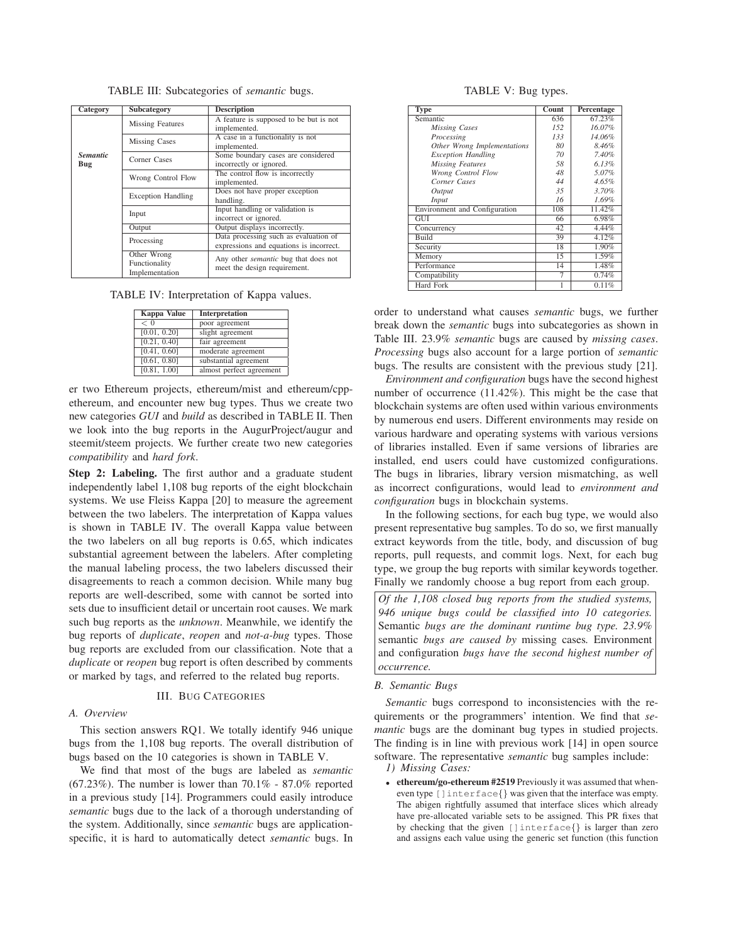| Category        | Subcategory               | <b>Description</b>                          |  |  |
|-----------------|---------------------------|---------------------------------------------|--|--|
|                 | <b>Missing Features</b>   | A feature is supposed to be but is not      |  |  |
|                 |                           | implemented.                                |  |  |
|                 | Missing Cases             | A case in a functionality is not            |  |  |
|                 |                           | implemented.                                |  |  |
| <i>Semantic</i> | Corner Cases              | Some boundary cases are considered          |  |  |
| Bug             |                           | incorrectly or ignored.                     |  |  |
|                 | Wrong Control Flow        | The control flow is incorrectly             |  |  |
|                 |                           | implemented.                                |  |  |
|                 | <b>Exception Handling</b> | Does not have proper exception              |  |  |
|                 |                           | handling.                                   |  |  |
|                 | Input                     | Input handling or validation is             |  |  |
|                 |                           | incorrect or ignored.                       |  |  |
|                 | Output                    | Output displays incorrectly.                |  |  |
|                 | Processing                | Data processing such as evaluation of       |  |  |
|                 |                           | expressions and equations is incorrect.     |  |  |
|                 | Other Wrong               | Any other <i>semantic</i> bug that does not |  |  |
|                 | Functionality             | meet the design requirement.                |  |  |
|                 | Implementation            |                                             |  |  |

TABLE III: Subcategories of *semantic* bugs.

TABLE IV: Interpretation of Kappa values.

| Kappa Value  | Interpretation           |
|--------------|--------------------------|
| < 0          | poor agreement           |
| [0.01, 0.20] | slight agreement         |
| [0.21, 0.40] | fair agreement           |
| [0.41, 0.60] | moderate agreement       |
| [0.61, 0.80] | substantial agreement    |
| [0.81, 1.00] | almost perfect agreement |

er two Ethereum projects, ethereum/mist and ethereum/cppethereum, and encounter new bug types. Thus we create two new categories *GUI* and *build* as described in TABLE II. Then we look into the bug reports in the AugurProject/augur and steemit/steem projects. We further create two new categories *compatibility* and *hard fork*.

Step 2: Labeling. The first author and a graduate student independently label 1,108 bug reports of the eight blockchain systems. We use Fleiss Kappa [20] to measure the agreement between the two labelers. The interpretation of Kappa values is shown in TABLE IV. The overall Kappa value between the two labelers on all bug reports is 0.65, which indicates substantial agreement between the labelers. After completing the manual labeling process, the two labelers discussed their disagreements to reach a common decision. While many bug reports are well-described, some with cannot be sorted into sets due to insufficient detail or uncertain root causes. We mark such bug reports as the *unknown*. Meanwhile, we identify the bug reports of *duplicate*, *reopen* and *not-a-bug* types. Those bug reports are excluded from our classification. Note that a *duplicate* or *reopen* bug report is often described by comments or marked by tags, and referred to the related bug reports.

## III. BUG CATEGORIES

# *A. Overview*

This section answers RQ1. We totally identify 946 unique bugs from the 1,108 bug reports. The overall distribution of bugs based on the 10 categories is shown in TABLE V.

We find that most of the bugs are labeled as *semantic*  $(67.23\%)$ . The number is lower than  $70.1\%$  -  $87.0\%$  reported in a previous study [14]. Programmers could easily introduce *semantic* bugs due to the lack of a thorough understanding of the system. Additionally, since *semantic* bugs are applicationspecific, it is hard to automatically detect *semantic* bugs. In

TABLE V: Bug types.

| <b>Type</b>                   | Count | Percentage |
|-------------------------------|-------|------------|
| Semantic                      | 636   | 67.23%     |
| <b>Missing Cases</b>          | 152   | 16.07%     |
| Processing                    | 133   | 14.06%     |
| Other Wrong Implementations   | 80    | 8.46%      |
| <b>Exception Handling</b>     | 70    | 7.40%      |
| <b>Missing Features</b>       | 58    | 6.13%      |
| Wrong Control Flow            | 48    | 5.07%      |
| Corner Cases                  | 44    | 4.65%      |
| Output                        | 35    | 3.70%      |
| Input                         | 16    | 1.69%      |
| Environment and Configuration | 108   | 11.42%     |
| GUI                           | 66    | 6.98%      |
| Concurrency                   | 42    | 4.44%      |
| <b>Build</b>                  | 39    | 4.12%      |
| Security                      | 18    | 1.90%      |
| Memory                        | 15    | 1.59%      |
| Performance                   | 14    | 1.48%      |
| Compatibility                 | 7     | 0.74%      |
| Hard Fork                     |       | 0.11%      |

order to understand what causes *semantic* bugs, we further break down the *semantic* bugs into subcategories as shown in Table III. 23.9% *semantic* bugs are caused by *missing cases*. *Processing* bugs also account for a large portion of *semantic* bugs. The results are consistent with the previous study [21].

*Environment and configuration* bugs have the second highest number of occurrence (11.42%). This might be the case that blockchain systems are often used within various environments by numerous end users. Different environments may reside on various hardware and operating systems with various versions of libraries installed. Even if same versions of libraries are installed, end users could have customized configurations. The bugs in libraries, library version mismatching, as well as incorrect configurations, would lead to *environment and configuration* bugs in blockchain systems.

In the following sections, for each bug type, we would also present representative bug samples. To do so, we first manually extract keywords from the title, body, and discussion of bug reports, pull requests, and commit logs. Next, for each bug type, we group the bug reports with similar keywords together. Finally we randomly choose a bug report from each group.

*Of the 1,108 closed bug reports from the studied systems, 946 unique bugs could be classified into 10 categories.* Semantic *bugs are the dominant runtime bug type. 23.9%* semantic *bugs are caused by* missing cases*.* Environment and configuration *bugs have the second highest number of occurrence.*

# *B. Semantic Bugs*

*Semantic* bugs correspond to inconsistencies with the requirements or the programmers' intention. We find that *semantic* bugs are the dominant bug types in studied projects. The finding is in line with previous work [14] in open source software. The representative *semantic* bug samples include:

*1) Missing Cases:*

• ethereum/go-ethereum #2519 Previously it was assumed that wheneven type []interface{} was given that the interface was empty. The abigen rightfully assumed that interface slices which already have pre-allocated variable sets to be assigned. This PR fixes that by checking that the given []interface{} is larger than zero and assigns each value using the generic set function (this function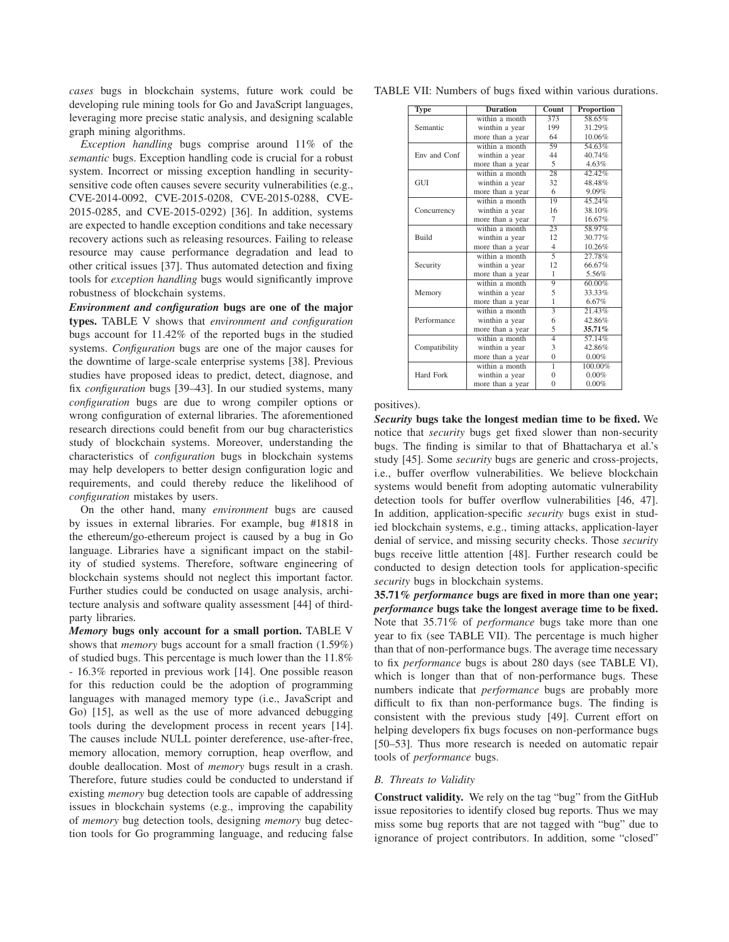*cases* bugs in blockchain systems, future work could be developing rule mining tools for Go and JavaScript languages, leveraging more precise static analysis, and designing scalable graph mining algorithms.

*Exception handling* bugs comprise around 11% of the *semantic* bugs. Exception handling code is crucial for a robust system. Incorrect or missing exception handling in securitysensitive code often causes severe security vulnerabilities (e.g., CVE-2014-0092, CVE-2015-0208, CVE-2015-0288, CVE-2015-0285, and CVE-2015-0292) [36]. In addition, systems are expected to handle exception conditions and take necessary recovery actions such as releasing resources. Failing to release resource may cause performance degradation and lead to other critical issues [37]. Thus automated detection and fixing tools for *exception handling* bugs would significantly improve robustness of blockchain systems.

*Environment and configuration* bugs are one of the major types. TABLE V shows that *environment and configuration* bugs account for 11.42% of the reported bugs in the studied systems. *Configuration* bugs are one of the major causes for the downtime of large-scale enterprise systems [38]. Previous studies have proposed ideas to predict, detect, diagnose, and fix *configuration* bugs [39–43]. In our studied systems, many *configuration* bugs are due to wrong compiler options or wrong configuration of external libraries. The aforementioned research directions could benefit from our bug characteristics study of blockchain systems. Moreover, understanding the characteristics of *configuration* bugs in blockchain systems may help developers to better design configuration logic and requirements, and could thereby reduce the likelihood of *configuration* mistakes by users.

On the other hand, many *environment* bugs are caused by issues in external libraries. For example, bug #1818 in the ethereum/go-ethereum project is caused by a bug in Go language. Libraries have a significant impact on the stability of studied systems. Therefore, software engineering of blockchain systems should not neglect this important factor. Further studies could be conducted on usage analysis, architecture analysis and software quality assessment [44] of thirdparty libraries.

*Memory* bugs only account for a small portion. TABLE V shows that *memory* bugs account for a small fraction (1.59%) of studied bugs. This percentage is much lower than the 11.8% - 16.3% reported in previous work [14]. One possible reason for this reduction could be the adoption of programming languages with managed memory type (i.e., JavaScript and Go) [15], as well as the use of more advanced debugging tools during the development process in recent years [14]. The causes include NULL pointer dereference, use-after-free, memory allocation, memory corruption, heap overflow, and double deallocation. Most of *memory* bugs result in a crash. Therefore, future studies could be conducted to understand if existing *memory* bug detection tools are capable of addressing issues in blockchain systems (e.g., improving the capability of *memory* bug detection tools, designing *memory* bug detection tools for Go programming language, and reducing false

| TABLE VII: Numbers of bugs fixed within various durations. |  |  |  |  |  |  |
|------------------------------------------------------------|--|--|--|--|--|--|
|------------------------------------------------------------|--|--|--|--|--|--|

| <b>Type</b>   | <b>Duration</b>  | Count           | Proportion |
|---------------|------------------|-----------------|------------|
|               | within a month   | 373             | 58.65%     |
| Semantic      | winthin a year   | 199             | 31.29%     |
|               | more than a year | 64              | 10.06%     |
|               | within a month   | 59              | 54.63%     |
| Env and Conf  | winthin a year   | 44              | 40.74%     |
|               | more than a year | 5               | 4.63%      |
|               | within a month   | 28              | 42.42%     |
| GUI           | winthin a year   | 32              | 48.48%     |
|               | more than a year | 6               | 9.09%      |
|               | within a month   | 19              | 45.24%     |
| Concurrency   | winthin a year   | 16              | 38.10%     |
|               | more than a year | $\tau$          | 16.67%     |
|               | within a month   | $\overline{23}$ | 58.97%     |
| <b>Build</b>  | winthin a year   | 12              | 30.77%     |
|               | more than a year | $\overline{4}$  | 10.26%     |
|               | within a month   | $\overline{5}$  | 27.78%     |
| Security      | winthin a year   | 12              | 66.67%     |
|               | more than a year | 1               | 5.56%      |
|               | within a month   | 9               | 60.00%     |
| Memory        | winthin a year   | 5               | 33.33%     |
|               | more than a year | $\mathbf{1}$    | 6.67%      |
|               | within a month   |                 | 21.43%     |
| Performance   | winthin a year   | 6               | 42.86%     |
|               | more than a year | 5               | 35.71%     |
|               | within a month   | 4               | 57.14%     |
| Compatibility | winthin a year   | 3               | 42.86%     |
|               | more than a year | $\overline{0}$  | $0.00\%$   |
|               | within a month   | ī               | 100.00%    |
| Hard Fork     | winthin a year   | $\overline{0}$  | 0.00%      |
|               | more than a year | $\theta$        | $0.00\%$   |

#### positives).

*Security* bugs take the longest median time to be fixed. We notice that *security* bugs get fixed slower than non-security bugs. The finding is similar to that of Bhattacharya et al.'s study [45]. Some *security* bugs are generic and cross-projects, i.e., buffer overflow vulnerabilities. We believe blockchain systems would benefit from adopting automatic vulnerability detection tools for buffer overflow vulnerabilities [46, 47]. In addition, application-specific *security* bugs exist in studied blockchain systems, e.g., timing attacks, application-layer denial of service, and missing security checks. Those *security* bugs receive little attention [48]. Further research could be conducted to design detection tools for application-specific *security* bugs in blockchain systems.

35.71% *performance* bugs are fixed in more than one year; *performance* bugs take the longest average time to be fixed. Note that 35.71% of *performance* bugs take more than one year to fix (see TABLE VII). The percentage is much higher than that of non-performance bugs. The average time necessary to fix *performance* bugs is about 280 days (see TABLE VI), which is longer than that of non-performance bugs. These numbers indicate that *performance* bugs are probably more difficult to fix than non-performance bugs. The finding is consistent with the previous study [49]. Current effort on helping developers fix bugs focuses on non-performance bugs [50–53]. Thus more research is needed on automatic repair tools of *performance* bugs.

#### *B. Threats to Validity*

Construct validity. We rely on the tag "bug" from the GitHub issue repositories to identify closed bug reports. Thus we may miss some bug reports that are not tagged with "bug" due to ignorance of project contributors. In addition, some "closed"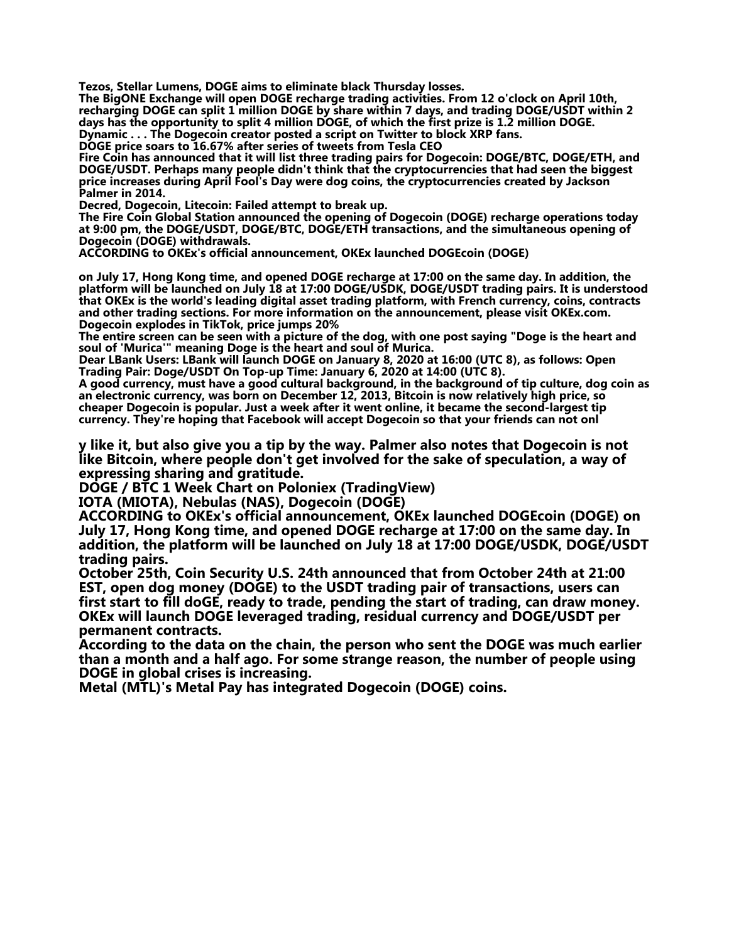**Tezos, Stellar Lumens, DOGE aims to eliminate black Thursday losses.**

**The BigONE Exchange will open DOGE recharge trading activities. From 12 o'clock on April 10th, recharging DOGE can split 1 million DOGE by share within 7 days, and trading DOGE/USDT within 2 days has the opportunity to split 4 million DOGE, of which the first prize is 1.2 million DOGE. Dynamic . . . The Dogecoin creator posted a script on Twitter to block XRP fans.**

**DOGE price soars to 16.67% after series of tweets from Tesla CEO**

**Fire Coin has announced that it will list three trading pairs for Dogecoin: DOGE/BTC, DOGE/ETH, and DOGE/USDT. Perhaps many people didn't think that the cryptocurrencies that had seen the biggest price increases during April Fool's Day were dog coins, the cryptocurrencies created by Jackson Palmer in 2014.**

**Decred, Dogecoin, Litecoin: Failed attempt to break up.**

**The Fire Coin Global Station announced the opening of Dogecoin (DOGE) recharge operations today at 9:00 pm, the DOGE/USDT, DOGE/BTC, DOGE/ETH transactions, and the simultaneous opening of Dogecoin (DOGE) withdrawals.**

**ACCORDING to OKEx's official announcement, OKEx launched DOGEcoin (DOGE)**

**on July 17, Hong Kong time, and opened DOGE recharge at 17:00 on the same day. In addition, the platform will be launched on July 18 at 17:00 DOGE/USDK, DOGE/USDT trading pairs. It is understood that OKEx is the world's leading digital asset trading platform, with French currency, coins, contracts and other trading sections. For more information on the announcement, please visit OKEx.com. Dogecoin explodes in TikTok, price jumps 20%**

**The entire screen can be seen with a picture of the dog, with one post saying "Doge is the heart and soul of 'Murica'" meaning Doge is the heart and soul of Murica.**

**Dear LBank Users: LBank will launch DOGE on January 8, 2020 at 16:00 (UTC 8), as follows: Open Trading Pair: Doge/USDT On Top-up Time: January 6, 2020 at 14:00 (UTC 8).**

**A good currency, must have a good cultural background, in the background of tip culture, dog coin as an electronic currency, was born on December 12, 2013, Bitcoin is now relatively high price, so cheaper Dogecoin is popular. Just a week after it went online, it became the second-largest tip currency. They're hoping that Facebook will accept Dogecoin so that your friends can not onl**

**y like it, but also give you a tip by the way. Palmer also notes that Dogecoin is not like Bitcoin, where people don't get involved for the sake of speculation, a way of expressing sharing and gratitude.**

**DOGE / BTC 1 Week Chart on Poloniex (TradingView)**

**IOTA (MIOTA), Nebulas (NAS), Dogecoin (DOGE)**

**ACCORDING to OKEx's official announcement, OKEx launched DOGEcoin (DOGE) on July 17, Hong Kong time, and opened DOGE recharge at 17:00 on the same day. In addition, the platform will be launched on July 18 at 17:00 DOGE/USDK, DOGE/USDT trading pairs.**

**October 25th, Coin Security U.S. 24th announced that from October 24th at 21:00 EST, open dog money (DOGE) to the USDT trading pair of transactions, users can first start to fill doGE, ready to trade, pending the start of trading, can draw money. OKEx will launch DOGE leveraged trading, residual currency and DOGE/USDT per permanent contracts.**

**According to the data on the chain, the person who sent the DOGE was much earlier than a month and a half ago. For some strange reason, the number of people using DOGE in global crises is increasing.**

**Metal (MTL)'s Metal Pay has integrated Dogecoin (DOGE) coins.**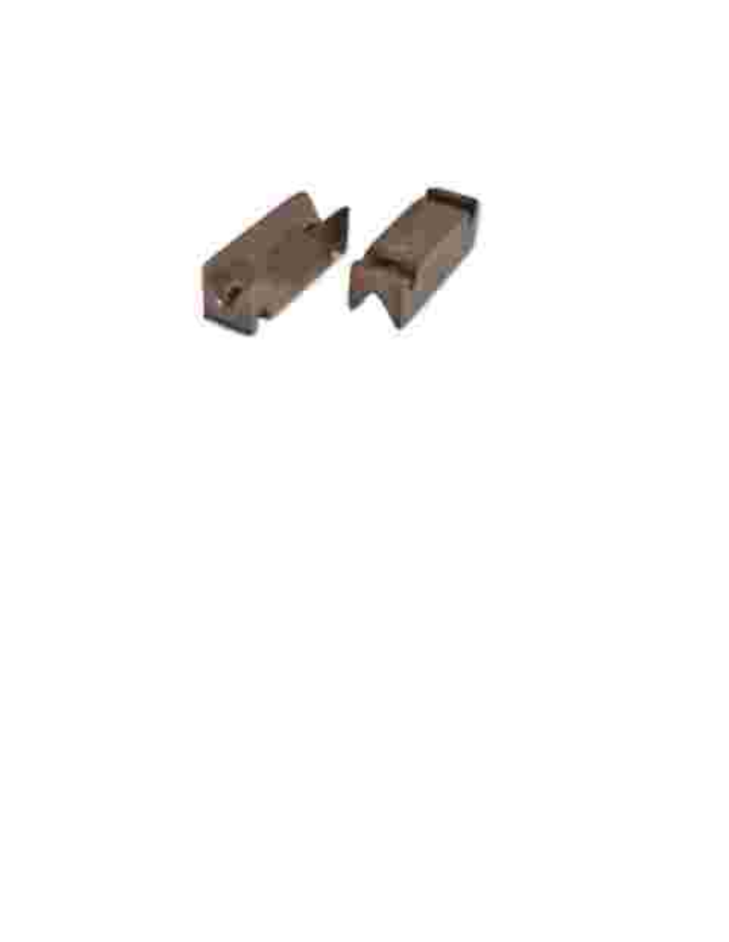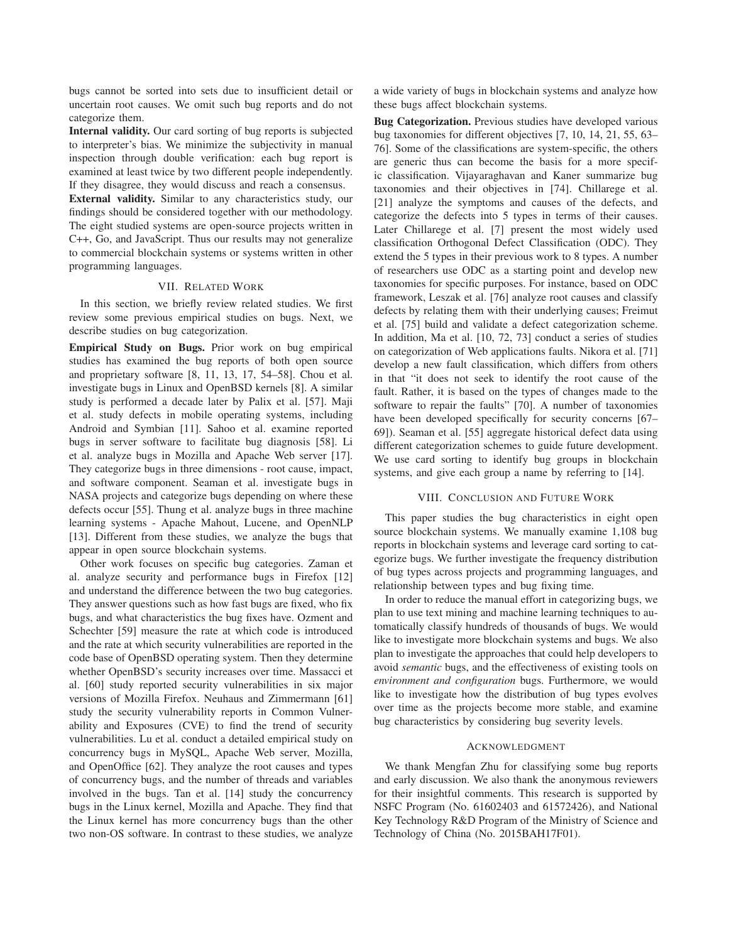bugs cannot be sorted into sets due to insufficient detail or uncertain root causes. We omit such bug reports and do not categorize them.

Internal validity. Our card sorting of bug reports is subjected to interpreter's bias. We minimize the subjectivity in manual inspection through double verification: each bug report is examined at least twice by two different people independently. If they disagree, they would discuss and reach a consensus.

External validity. Similar to any characteristics study, our findings should be considered together with our methodology. The eight studied systems are open-source projects written in C++, Go, and JavaScript. Thus our results may not generalize to commercial blockchain systems or systems written in other programming languages.

# VII. RELATED WORK

In this section, we briefly review related studies. We first review some previous empirical studies on bugs. Next, we describe studies on bug categorization.

Empirical Study on Bugs. Prior work on bug empirical studies has examined the bug reports of both open source and proprietary software [8, 11, 13, 17, 54–58]. Chou et al. investigate bugs in Linux and OpenBSD kernels [8]. A similar study is performed a decade later by Palix et al. [57]. Maji et al. study defects in mobile operating systems, including Android and Symbian [11]. Sahoo et al. examine reported bugs in server software to facilitate bug diagnosis [58]. Li et al. analyze bugs in Mozilla and Apache Web server [17]. They categorize bugs in three dimensions - root cause, impact, and software component. Seaman et al. investigate bugs in NASA projects and categorize bugs depending on where these defects occur [55]. Thung et al. analyze bugs in three machine learning systems - Apache Mahout, Lucene, and OpenNLP [13]. Different from these studies, we analyze the bugs that appear in open source blockchain systems.

Other work focuses on specific bug categories. Zaman et al. analyze security and performance bugs in Firefox [12] and understand the difference between the two bug categories. They answer questions such as how fast bugs are fixed, who fix bugs, and what characteristics the bug fixes have. Ozment and Schechter [59] measure the rate at which code is introduced and the rate at which security vulnerabilities are reported in the code base of OpenBSD operating system. Then they determine whether OpenBSD's security increases over time. Massacci et al. [60] study reported security vulnerabilities in six major versions of Mozilla Firefox. Neuhaus and Zimmermann [61] study the security vulnerability reports in Common Vulnerability and Exposures (CVE) to find the trend of security vulnerabilities. Lu et al. conduct a detailed empirical study on concurrency bugs in MySQL, Apache Web server, Mozilla, and OpenOffice [62]. They analyze the root causes and types of concurrency bugs, and the number of threads and variables involved in the bugs. Tan et al. [14] study the concurrency bugs in the Linux kernel, Mozilla and Apache. They find that the Linux kernel has more concurrency bugs than the other two non-OS software. In contrast to these studies, we analyze a wide variety of bugs in blockchain systems and analyze how these bugs affect blockchain systems.

Bug Categorization. Previous studies have developed various bug taxonomies for different objectives [7, 10, 14, 21, 55, 63– 76]. Some of the classifications are system-specific, the others are generic thus can become the basis for a more specific classification. Vijayaraghavan and Kaner summarize bug taxonomies and their objectives in [74]. Chillarege et al. [21] analyze the symptoms and causes of the defects, and categorize the defects into 5 types in terms of their causes. Later Chillarege et al. [7] present the most widely used classification Orthogonal Defect Classification (ODC). They extend the 5 types in their previous work to 8 types. A number of researchers use ODC as a starting point and develop new taxonomies for specific purposes. For instance, based on ODC framework, Leszak et al. [76] analyze root causes and classify defects by relating them with their underlying causes; Freimut et al. [75] build and validate a defect categorization scheme. In addition, Ma et al. [10, 72, 73] conduct a series of studies on categorization of Web applications faults. Nikora et al. [71] develop a new fault classification, which differs from others in that "it does not seek to identify the root cause of the fault. Rather, it is based on the types of changes made to the software to repair the faults" [70]. A number of taxonomies have been developed specifically for security concerns [67– 69]). Seaman et al. [55] aggregate historical defect data using different categorization schemes to guide future development. We use card sorting to identify bug groups in blockchain systems, and give each group a name by referring to [14].

# VIII. CONCLUSION AND FUTURE WORK

This paper studies the bug characteristics in eight open source blockchain systems. We manually examine 1,108 bug reports in blockchain systems and leverage card sorting to categorize bugs. We further investigate the frequency distribution of bug types across projects and programming languages, and relationship between types and bug fixing time.

In order to reduce the manual effort in categorizing bugs, we plan to use text mining and machine learning techniques to automatically classify hundreds of thousands of bugs. We would like to investigate more blockchain systems and bugs. We also plan to investigate the approaches that could help developers to avoid *semantic* bugs, and the effectiveness of existing tools on *environment and configuration* bugs. Furthermore, we would like to investigate how the distribution of bug types evolves over time as the projects become more stable, and examine bug characteristics by considering bug severity levels.

#### ACKNOWLEDGMENT

We thank Mengfan Zhu for classifying some bug reports and early discussion. We also thank the anonymous reviewers for their insightful comments. This research is supported by NSFC Program (No. 61602403 and 61572426), and National Key Technology R&D Program of the Ministry of Science and Technology of China (No. 2015BAH17F01).